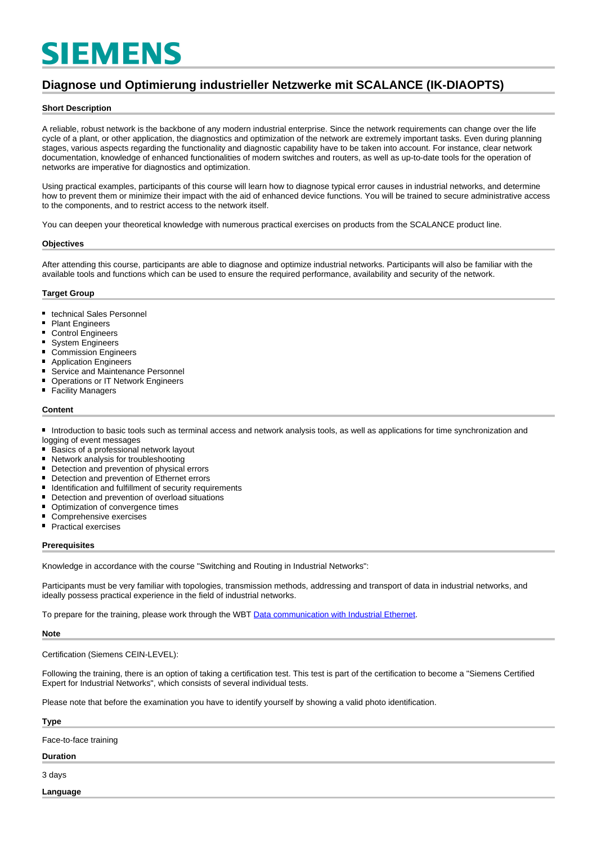# **SIEMENS**

### **Diagnose und Optimierung industrieller Netzwerke mit SCALANCE (IK-DIAOPTS)**

#### **Short Description**

A reliable, robust network is the backbone of any modern industrial enterprise. Since the network requirements can change over the life cycle of a plant, or other application, the diagnostics and optimization of the network are extremely important tasks. Even during planning stages, various aspects regarding the functionality and diagnostic capability have to be taken into account. For instance, clear network documentation, knowledge of enhanced functionalities of modern switches and routers, as well as up-to-date tools for the operation of networks are imperative for diagnostics and optimization.

Using practical examples, participants of this course will learn how to diagnose typical error causes in industrial networks, and determine how to prevent them or minimize their impact with the aid of enhanced device functions. You will be trained to secure administrative access to the components, and to restrict access to the network itself.

You can deepen your theoretical knowledge with numerous practical exercises on products from the SCALANCE product line.

#### **Objectives**

After attending this course, participants are able to diagnose and optimize industrial networks. Participants will also be familiar with the available tools and functions which can be used to ensure the required performance, availability and security of the network.

#### **Target Group**

- $\blacksquare$ technical Sales Personnel
- $\blacksquare$ Plant Engineers
- Control Engineers
- System Engineers  $\blacksquare$
- $\blacksquare$ Commission Engineers
- $\blacksquare$ Application Engineers
- Service and Maintenance Personnel
- Operations or IT Network Engineers
- Facility Managers

#### **Content**

■ Introduction to basic tools such as terminal access and network analysis tools, as well as applications for time synchronization and logging of event messages

- Basics of a professional network layout  $\blacksquare$
- $\blacksquare$ Network analysis for troubleshooting
- $\blacksquare$ Detection and prevention of physical errors
- $\blacksquare$ Detection and prevention of Ethernet errors
- Identification and fulfillment of security requirements
- Detection and prevention of overload situations
- Optimization of convergence times
- Comprehensive exercises
- **Practical exercises**

#### **Prerequisites**

Knowledge in accordance with the course "Switching and Routing in Industrial Networks":

Participants must be very familiar with topologies, transmission methods, addressing and transport of data in industrial networks, and ideally possess practical experience in the field of industrial networks.

To prepare for the training, please work through the WBT [Data communication with Industrial Ethernet](https://cache.industry.siemens.com/dl/dl-media/370/22531370/att_996981/v24/22531370_Ind_Kommunikation_web/start.htm#!/de/13825).

#### **Note**

Certification (Siemens CEIN-LEVEL):

Following the training, there is an option of taking a certification test. This test is part of the certification to become a "Siemens Certified Expert for Industrial Networks", which consists of several individual tests.

Please note that before the examination you have to identify yourself by showing a valid photo identification.

## **Type** Face-to-face training

#### **Duration**

3 days

**Language**